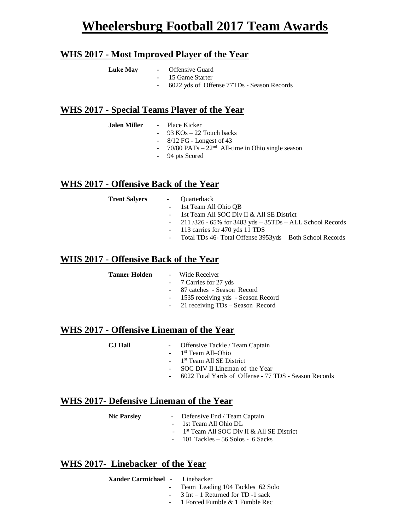# **Wheelersburg Football 2017 Team Awards**

### **WHS 2017 - Most Improved Player of the Year**

- Luke May Offensive Guard
	- **-** 15 Game Starter
	- **-** 6022 yds of Offense 77TDs Season Records

#### **WHS 2017 - Special Teams Player of the Year**

- **Jalen Miller**  Place Kicker
	- $93$  KOs 22 Touch backs
	- 8/12 FG Longest of 43
	- $70/80$  PATs  $22<sup>nd</sup>$  All-time in Ohio single season
	- 94 pts Scored

#### **WHS 2017 - Offensive Back of the Year**

**Trent Salyers** - Quarterback

- 
- 1st Team All Ohio OB
- 1st Team All SOC Div II & All SE District
- 211 /326 65% for 3483 yds 35TDs ALL School Records
- 113 carries for 470 yds 11 TDS
- Total TDs 46- Total Offense 3953yds Both School Records

#### **WHS 2017 - Offensive Back of the Year**

#### **Tanner Holden** - Wide Receiver

- 7 Carries for 27 yds
- 87 catches Season Record
- 1535 receiving yds Season Record
- 21 receiving TDs Season Record

### **WHS 2017 - Offensive Lineman of the Year**

- **CJ Hall**  Offensive Tackle / Team Captain
	- 1<sup>st</sup> Team All-Ohio
	- 1<sup>st</sup> Team All SE District
	- SOC DIV II Lineman of the Year
	- 6022 Total Yards of Offense 77 TDS Season Records

### **WHS 2017- Defensive Lineman of the Year**

- **Nic Parsley**  Defensive End / Team Captain - 1st Team All Ohio DL
- $-1$ 1<sup>st</sup> Team All SOC Div II & All SE District
	- $-101$  Tackles  $-56$  Solos  $-6$  Sacks

#### **WHS 2017- Linebacker of the Year**

**Xander Carmichael** - Linebacker

- 
- Team Leading 104 Tackles 62 Solo
- 3 Int 1 Returned for TD -1 sack
- 1 Forced Fumble & 1 Fumble Rec